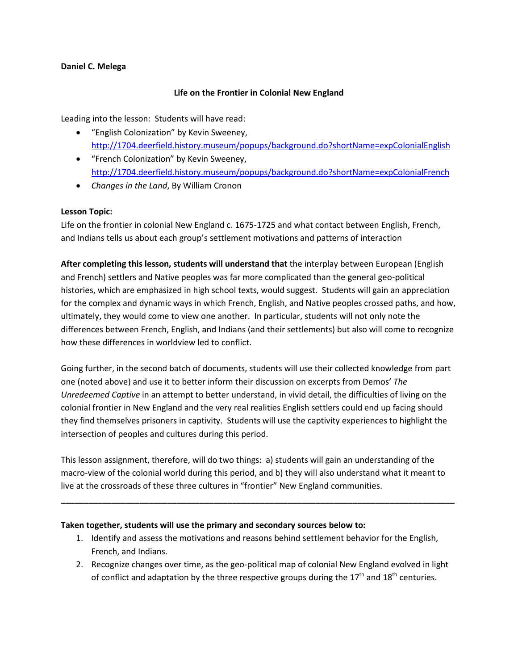### **Daniel C. Melega**

# **Life on the Frontier in Colonial New England**

Leading into the lesson: Students will have read:

- "English Colonization" by Kevin Sweeney, <http://1704.deerfield.history.museum/popups/background.do?shortName=expColonialEnglish>
- "French Colonization" by Kevin Sweeney, <http://1704.deerfield.history.museum/popups/background.do?shortName=expColonialFrench>
- *Changes in the Land*, By William Cronon

### **Lesson Topic:**

Life on the frontier in colonial New England c. 1675-1725 and what contact between English, French, and Indians tells us about each group's settlement motivations and patterns of interaction

**After completing this lesson, students will understand that** the interplay between European (English and French) settlers and Native peoples was far more complicated than the general geo-political histories, which are emphasized in high school texts, would suggest. Students will gain an appreciation for the complex and dynamic ways in which French, English, and Native peoples crossed paths, and how, ultimately, they would come to view one another. In particular, students will not only note the differences between French, English, and Indians (and their settlements) but also will come to recognize how these differences in worldview led to conflict.

Going further, in the second batch of documents, students will use their collected knowledge from part one (noted above) and use it to better inform their discussion on excerpts from Demos' *The Unredeemed Captive* in an attempt to better understand, in vivid detail, the difficulties of living on the colonial frontier in New England and the very real realities English settlers could end up facing should they find themselves prisoners in captivity. Students will use the captivity experiences to highlight the intersection of peoples and cultures during this period.

This lesson assignment, therefore, will do two things: a) students will gain an understanding of the macro-view of the colonial world during this period, and b) they will also understand what it meant to live at the crossroads of these three cultures in "frontier" New England communities.

**\_\_\_\_\_\_\_\_\_\_\_\_\_\_\_\_\_\_\_\_\_\_\_\_\_\_\_\_\_\_\_\_\_\_\_\_\_\_\_\_\_\_\_\_\_\_\_\_\_\_\_\_\_\_\_\_\_\_\_\_\_\_\_\_\_\_\_\_\_\_\_\_\_\_\_\_\_\_\_\_\_\_\_\_\_**

### **Taken together, students will use the primary and secondary sources below to:**

- 1. Identify and assess the motivations and reasons behind settlement behavior for the English, French, and Indians.
- 2. Recognize changes over time, as the geo-political map of colonial New England evolved in light of conflict and adaptation by the three respective groups during the  $17<sup>th</sup>$  and  $18<sup>th</sup>$  centuries.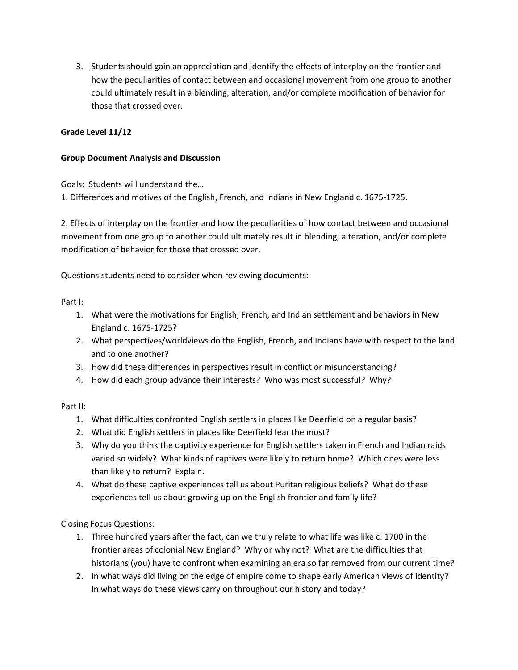3. Students should gain an appreciation and identify the effects of interplay on the frontier and how the peculiarities of contact between and occasional movement from one group to another could ultimately result in a blending, alteration, and/or complete modification of behavior for those that crossed over.

# **Grade Level 11/12**

### **Group Document Analysis and Discussion**

Goals: Students will understand the…

1. Differences and motives of the English, French, and Indians in New England c. 1675-1725.

2. Effects of interplay on the frontier and how the peculiarities of how contact between and occasional movement from one group to another could ultimately result in blending, alteration, and/or complete modification of behavior for those that crossed over.

Questions students need to consider when reviewing documents:

### Part I:

- 1. What were the motivations for English, French, and Indian settlement and behaviors in New England c. 1675-1725?
- 2. What perspectives/worldviews do the English, French, and Indians have with respect to the land and to one another?
- 3. How did these differences in perspectives result in conflict or misunderstanding?
- 4. How did each group advance their interests? Who was most successful? Why?

### Part II:

- 1. What difficulties confronted English settlers in places like Deerfield on a regular basis?
- 2. What did English settlers in places like Deerfield fear the most?
- 3. Why do you think the captivity experience for English settlers taken in French and Indian raids varied so widely? What kinds of captives were likely to return home? Which ones were less than likely to return? Explain.
- 4. What do these captive experiences tell us about Puritan religious beliefs? What do these experiences tell us about growing up on the English frontier and family life?

Closing Focus Questions:

- 1. Three hundred years after the fact, can we truly relate to what life was like c. 1700 in the frontier areas of colonial New England? Why or why not? What are the difficulties that historians (you) have to confront when examining an era so far removed from our current time?
- 2. In what ways did living on the edge of empire come to shape early American views of identity? In what ways do these views carry on throughout our history and today?